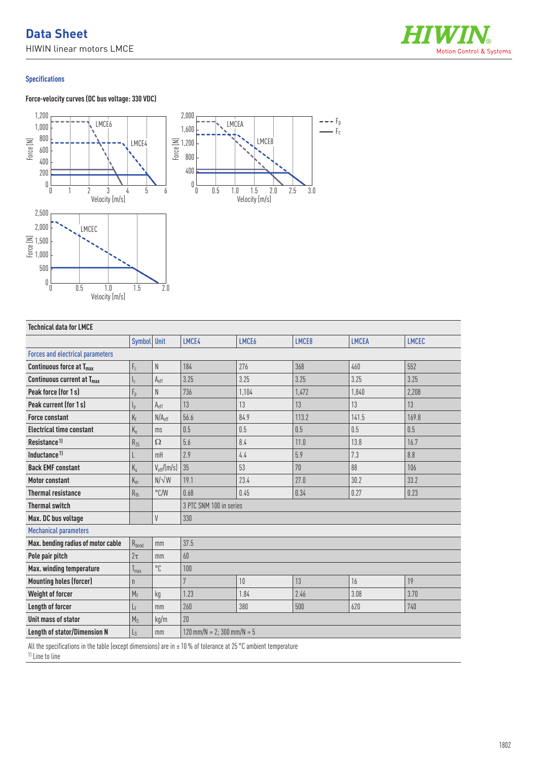

 $---$  Fp  $-\mathsf{F}_c$ 

## **Specifications**

 $\begin{smallmatrix} 0 & L \\ & 0 \\ & 0 \end{smallmatrix}$ 

0 0.5 1.0 1.5 2.0

Velocity [m/s]

#### **Force-velocity curves (DC bus voltage: 330 VDC)**  $\begin{matrix} 0 \\ 0 \end{matrix}$ 0 1 2345 6 400 600 200 1,000 800 1,200 Force [N]  $0\frac{L}{0}$ 0 0.5 1.0 1.5 2.0 2.5 3.0 1,200 1,600  $\begin{array}{c|c|c|c|c} \text{LMCE4} & \text{if} & 1,200 & & & \text{N} & \text{LMCE8} \\ \hline \text{if} & \text{if} & 800 & & & \text{N} & \text{N} \end{array}$ 400 2,000 Velocity [m/s] Velocity [m/s] LMCE6 LMCEA 2,500 2,000 1,500 三 1,500<br>문 1,000 500 LMCEC

| <b>Technical data for LMCE</b>          |                           |                           |                                             |       |       |              |              |
|-----------------------------------------|---------------------------|---------------------------|---------------------------------------------|-------|-------|--------------|--------------|
|                                         | Symbol Unit               |                           | LMCE4                                       | LMCE6 | LMCE8 | <b>LMCEA</b> | <b>LMCEC</b> |
| <b>Forces and electrical parameters</b> |                           |                           |                                             |       |       |              |              |
| Continuous force at T <sub>max</sub>    | $\mathsf{F}_{\rm c}$      | N                         | 184                                         | 276   | 368   | 460          | 552          |
| Continuous current at T <sub>max</sub>  | $\mathsf{I}_\mathsf{c}$   | $\mathsf{A}_{\text{eff}}$ | 3.25                                        | 3.25  | 3.25  | 3.25         | 3.25         |
| Peak force (for 1s)                     | $F_p$                     | N                         | 736                                         | 1,104 | 1.472 | 1,840        | 2,208        |
| Peak current (for 1s)                   | $\mathsf{I}_{\mathsf{p}}$ | $A_{eff}$                 | 13                                          | 13    | 13    | 13           | 13           |
| <b>Force constant</b>                   | $K_f$                     | N/A <sub>eff</sub>        | 56.6                                        | 84.9  | 113.2 | 141.5        | 169.8        |
| <b>Electrical time constant</b>         | $K_e$                     | ms                        | 0.5                                         | 0.5   | 0.5   | 0.5          | 0.5          |
| Resistance <sup>1)</sup>                | $R_{25}$                  | $\Omega$                  | 5.6                                         | 8.4   | 11.0  | 13.8         | 16.7         |
| Inductance <sup>1)</sup>                | L                         | mH                        | 2.9                                         | 4.4   | 5.9   | 7.3          | 8.8          |
| <b>Back EMF constant</b>                | $K_{u}$                   | $V_{\text{eff}}/(m/s)$    | 35                                          | 53    | 70    | 88           | 106          |
| <b>Motor constant</b>                   | $K_m$                     | $N/\sqrt{W}$              | 19.1                                        | 23.4  | 27.0  | 30.2         | 33.2         |
| <b>Thermal resistance</b>               | $R_{th}$                  | $\degree$ C/W             | 0.68                                        | 0.45  | 0.34  | 0.27         | 0.23         |
| <b>Thermal switch</b>                   |                           |                           | 3 PTC SNM 100 in series                     |       |       |              |              |
| Max. DC bus voltage                     |                           | V                         | 330                                         |       |       |              |              |
| <b>Mechanical parameters</b>            |                           |                           |                                             |       |       |              |              |
| Max. bending radius of motor cable      | $R_{bend}$                | mm                        | 37.5                                        |       |       |              |              |
| Pole pair pitch                         | $2\tau$                   | mm                        | 60                                          |       |       |              |              |
| Max. winding temperature                | $T_{max}$                 | °C                        | 100                                         |       |       |              |              |
| <b>Mounting holes (forcer)</b>          | $\mathsf{n}$              |                           | 7                                           | 10    | 13    | 16           | 19           |
| Weight of forcer                        | $M_F$                     | kg                        | 1.23                                        | 1.84  | 2.46  | 3.08         | 3.70         |
| <b>Length of forcer</b>                 | LF                        | mm                        | 260                                         | 380   | 500   | 620          | 740          |
| Unit mass of stator                     | $M_S$                     | kg/m                      | 20                                          |       |       |              |              |
| <b>Length of stator/Dimension N</b>     | $L_{S}$                   | mm                        | $120 \text{ mm/N} = 2:300 \text{ mm/N} = 5$ |       |       |              |              |

All the specifications in the table (except dimensions) are in  $\pm$  10 % of tolerance at 25 °C ambient temperature

1) Line to line